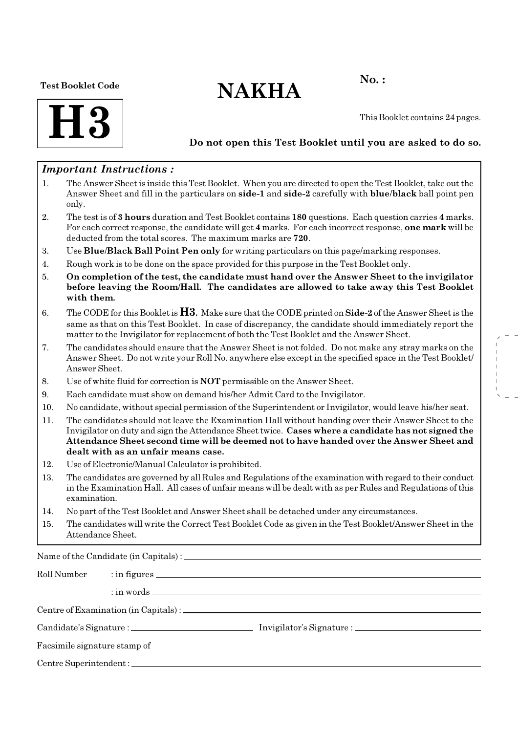#### Test Booklet Code

# $NAKHA$ <sup>No.:</sup>



This Booklet contains 24 pages.

### Do not open this Test Booklet until you are asked to do so.

### Important Instructions :

- 1. The Answer Sheet is inside this Test Booklet. When you are directed to open the Test Booklet, take out the Answer Sheet and fill in the particulars on side-1 and side-2 carefully with blue/black ball point pen only.
- 2. The test is of 3 hours duration and Test Booklet contains 180 questions. Each question carries 4 marks. For each correct response, the candidate will get 4 marks. For each incorrect response, one mark will be deducted from the total scores. The maximum marks are 720.
- 3. Use Blue/Black Ball Point Pen only for writing particulars on this page/marking responses.
- 4. Rough work is to be done on the space provided for this purpose in the Test Booklet only.
- 5. On completion of the test, the candidate must hand over the Answer Sheet to the invigilator before leaving the Room/Hall. The candidates are allowed to take away this Test Booklet with them.
- 6. The CODE for this Booklet is  $H3$ . Make sure that the CODE printed on **Side-2** of the Answer Sheet is the same as that on this Test Booklet. In case of discrepancy, the candidate should immediately report the matter to the Invigilator for replacement of both the Test Booklet and the Answer Sheet.
- 7. The candidates should ensure that the Answer Sheet is not folded. Do not make any stray marks on the Answer Sheet. Do not write your Roll No. anywhere else except in the specified space in the Test Booklet/ Answer Sheet.
- 8. Use of white fluid for correction is NOT permissible on the Answer Sheet.
- 9. Each candidate must show on demand his/her Admit Card to the Invigilator.
- 10. No candidate, without special permission of the Superintendent or Invigilator, would leave his/her seat.
- 11. The candidates should not leave the Examination Hall without handing over their Answer Sheet to the Invigilator on duty and sign the Attendance Sheet twice. Cases where a candidate has not signed the Attendance Sheet second time will be deemed not to have handed over the Answer Sheet and dealt with as an unfair means case.
- 12. Use of Electronic/Manual Calculator is prohibited.
- 13. The candidates are governed by all Rules and Regulations of the examination with regard to their conduct in the Examination Hall. All cases of unfair means will be dealt with as per Rules and Regulations of this examination.
- 14. No part of the Test Booklet and Answer Sheet shall be detached under any circumstances.
- 15. The candidates will write the Correct Test Booklet Code as given in the Test Booklet/Answer Sheet in the Attendance Sheet.

Name of the Candidate (in Capitals) :

| Roll Number                  |  |  |
|------------------------------|--|--|
|                              |  |  |
|                              |  |  |
|                              |  |  |
| Facsimile signature stamp of |  |  |
|                              |  |  |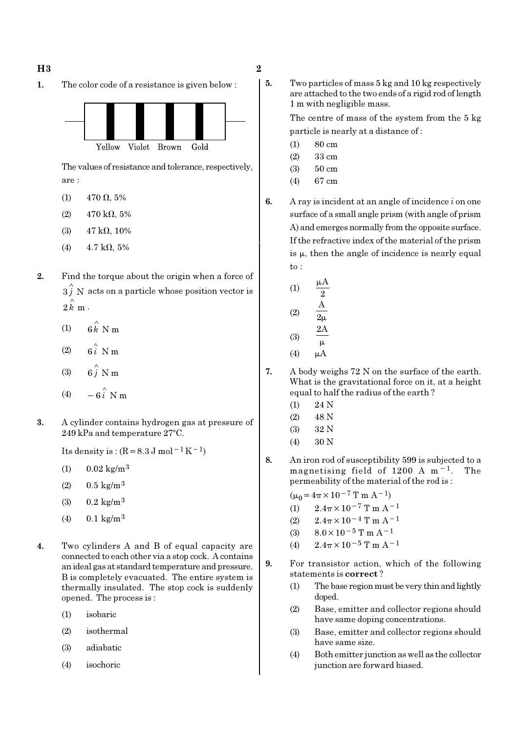1. The color code of a resistance is given below :



The values of resistance and tolerance, respectively, are :

(1) 470  $\Omega$ , 5%

(2) 470 kΩ, 5%

- (3)  $47 \text{ k}\Omega$ , 10%
- (4)  $4.7 \text{ k}\Omega, 5\%$
- 2. Find the torque about the origin when a force of  $3 \hat{j}$  N acts on a particle whose position vector is  $2 \, \overset{\circ}{k} \, \text{m}$  .
	- (1)  $6 \hat{k}$  N m
	- (2)  $6i$  N m
	- $(3)$ ∧
	- $(4)$ ∧ −
- 3. A cylinder contains hydrogen gas at pressure of 249 kPa and temperature 27°C.

Its density is :  $(R=8.3 \text{ J mol}^{-1}\text{ K}^{-1})$ 

- $(1)$  0.02 kg/m<sup>3</sup>
- (2)  $0.5 \text{ kg/m}^3$
- (3)  $0.2 \text{ kg/m}^3$
- (4)  $0.1 \text{ kg/m}^3$
- 4. Two cylinders A and B of equal capacity are connected to each other via a stop cock. A contains an ideal gas at standard temperature and pressure. B is completely evacuated. The entire system is thermally insulated. The stop cock is suddenly opened. The process is :
	- (1) isobaric
	- (2) isothermal
	- (3) adiabatic
	- (4) isochoric

5. Two particles of mass 5 kg and 10 kg respectively are attached to the two ends of a rigid rod of length 1 m with negligible mass.

> The centre of mass of the system from the 5 kg particle is nearly at a distance of :

- (1) 80 cm
- (2) 33 cm
- (3) 50 cm
- (4) 67 cm
- 6. A ray is incident at an angle of incidence  $i$  on one surface of a small angle prism (with angle of prism A) and emerges normally from the opposite surface. If the refractive index of the material of the prism is  $\mu$ , then the angle of incidence is nearly equal to :

(1) 
$$
\frac{\mu A}{2}
$$
  
\n(2)  $\frac{A}{2\mu}$   
\n(3)  $\frac{2A}{\mu}$   
\n(4)  $\mu A$ 

- 7. A body weighs 72 N on the surface of the earth. What is the gravitational force on it, at a height equal to half the radius of the earth ?
	- (1) 24 N
	- (2) 48 N
	- (3) 32 N
	- (4) 30 N
- 8. An iron rod of susceptibility 599 is subjected to a magnetising field of 1200 A m−1. The permeability of the material of the rod is :

 $(\mu_0 = 4\pi \times 10^{-7} \text{ T m A}^{-1})$ 

- (1)  $2.4\pi \times 10^{-7}$  T m A<sup>-1</sup>
- (2)  $2.4\pi \times 10^{-4}$  T m A<sup>-1</sup>
- (3)  $8.0 \times 10^{-5}$  T m A<sup>-1</sup>
- (4)  $2.4\pi \times 10^{-5}$  T m A<sup>-1</sup>
- 9. For transistor action, which of the following statements is correct ?
	- (1) The base region must be very thin and lightly doped.
	- (2) Base, emitter and collector regions should have same doping concentrations.
	- (3) Base, emitter and collector regions should have same size.
	- (4) Both emitter junction as well as the collector junction are forward biased.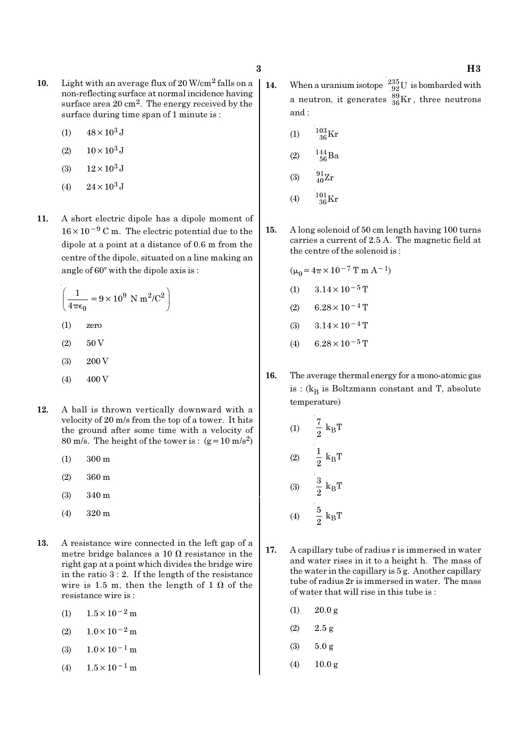- 10. Light with an average flux of  $20$  W/cm<sup>2</sup> falls on a non-reflecting surface at normal incidence having surface area 20 cm<sup>2</sup>. The energy received by the surface during time span of 1 minute is :
	- (1)  $48 \times 10^3$  J
	- (2)  $10 \times 10^3$  J
	- (3)  $12 \times 10^3$  J
	- (4)  $24 \times 10^3$  J
- 11. A short electric dipole has a dipole moment of 16×10−<sup>9</sup> C m. The electric potential due to the dipole at a point at a distance of 0.6 m from the centre of the dipole, situated on a line making an angle of  $60^\circ$  with the dipole axis is:

$$
\left(\frac{1}{4\pi\epsilon_0} = 9 \times 10^9 \text{ N m}^2/\text{C}^2\right)
$$
  
(1) zero  
(2) 50 V

- (3) 200 V
- $(4)$  400 V
- 12. A ball is thrown vertically downward with a velocity of 20 m/s from the top of a tower. It hits the ground after some time with a velocity of 80 m/s. The height of the tower is :  $(g=10 \text{ m/s}^2)$ 
	- (1) 300 m
	- (2) 360 m
	- (3) 340 m
	- (4) 320 m
- 13. A resistance wire connected in the left gap of a metre bridge balances a 10  $\Omega$  resistance in the right gap at a point which divides the bridge wire in the ratio 3 : 2. If the length of the resistance wire is 1.5 m, then the length of 1  $\Omega$  of the resistance wire is :
	- (1)  $1.5 \times 10^{-2}$  m
	- (2)  $1.0 \times 10^{-2}$  m
	- (3)  $1.0 \times 10^{-1}$  m
	- (4)  $1.5 \times 10^{-1}$  m
- 14. When a uranium isotope  $^{235}_{92}$ U is bombarded with a neutron, it generates  $^{89}_{36}\text{Kr}$  , three neutrons and :
	- (1)  $\frac{103}{36}$ Kr
	- (2)  $\frac{144}{56}Ba$
	- (3)  $\frac{91}{40}Zr$
	- (4)  $\frac{101}{36}$ Kr
- 15. A long solenoid of 50 cm length having 100 turns carries a current of 2.5 A. The magnetic field at the centre of the solenoid is :

$$
(\mu_0 = 4\pi \times 10^{-7} \text{ T m A}^{-1})
$$
  
(1) 3.14 × 10<sup>-5</sup> T  
(2) 6.28 × 10<sup>-4</sup> T  
(3) 3.14 × 10<sup>-4</sup> T

- (4) 6.28  $\times$  10<sup>-5</sup> T
- 16. The average thermal energy for a mono-atomic gas is : ( $k_B$  is Boltzmann constant and T, absolute temperature)

(1) 
$$
\frac{7}{2} k_{B}T
$$
  
\n(2)  $\frac{1}{2} k_{B}T$   
\n(3)  $\frac{3}{2} k_{B}T$   
\n(4)  $\frac{5}{2} k_{B}T$ 

- 17. A capillary tube of radius r is immersed in water and water rises in it to a height h. The mass of the water in the capillary is 5 g. Another capillary tube of radius 2r is immersed in water. The mass of water that will rise in this tube is :
	- $(1)$  20.0 g
	- $(2)$  2.5 g
	- (3) 5.0 g
	- (4)  $10.0 \text{ g}$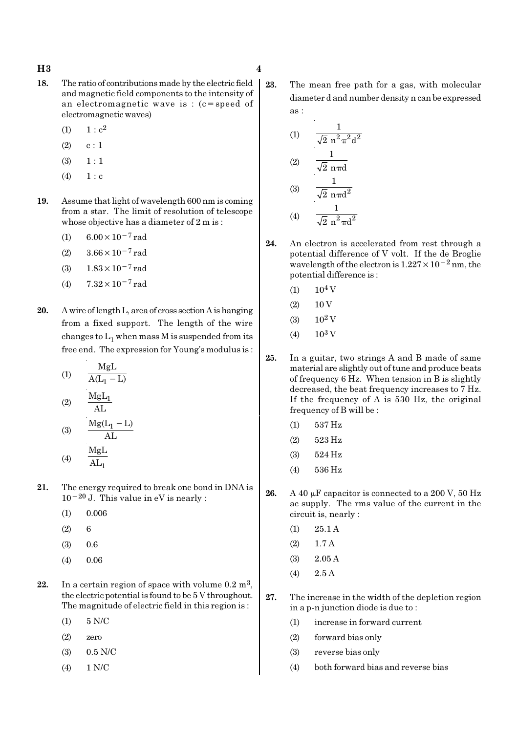#### $H3 \hspace{2.5cm} 4$

- 18. The ratio of contributions made by the electric field and magnetic field components to the intensity of an electromagnetic wave is : (c=speed of electromagnetic waves)
	- (1)  $1 : c^2$
	- $(2)$  c : 1
	- $(3) \quad 1 : 1$
	- $(4) 1 : c$
- 19. Assume that light of wavelength 600 nm is coming from a star. The limit of resolution of telescope whose objective has a diameter of 2 m is :
	- (1)  $6.00 \times 10^{-7}$  rad
	- (2)  $3.66 \times 10^{-7}$  rad
	- (3)  $1.83 \times 10^{-7}$  rad
	- (4)  $7.32 \times 10^{-7}$  rad
- 20. A wire of length L, area of cross section A is hanging from a fixed support. The length of the wire changes to  $\mathrm{L}_1$  when mass M is suspended from its free end. The expression for Young's modulus is :
	- (1) 1 MgL  $A(L_1 - L)$
	- (2)  $MgL_1$ AL

(3) 
$$
\frac{Mg(L_1 - L)}{AL}
$$
  
(4) 
$$
\frac{MgL}{AL_1}
$$

- 21. The energy required to break one bond in DNA is  $10^{-20}$  J. This value in eV is nearly :
	- $(1)$  0.006
	- $(2) 6$
	- (3) 0.6
	- (4) 0.06
- 22. In a certain region of space with volume  $0.2 \text{ m}^3$ , the electric potential is found to be 5 V throughout. The magnitude of electric field in this region is :
	- (1) 5 N/C
	- (2) zero
	- (3) 0.5 N/C
	- (4) 1 N/C

23. The mean free path for a gas, with molecular diameter d and number density n can be expressed as :

(1) 
$$
\frac{1}{\sqrt{2} n^2 \pi^2 d^2}
$$
  
\n(2) 
$$
\frac{1}{\sqrt{2} n \pi d}
$$
  
\n(3) 
$$
\frac{1}{\sqrt{2} n \pi d^2}
$$
  
\n(4) 
$$
\frac{1}{\sqrt{2} n^2 \pi d^2}
$$

- 24. An electron is accelerated from rest through a potential difference of V volt. If the de Broglie wavelength of the electron is  $1.227 \times 10^{-2}$  nm, the potential difference is :
	- $(1)$  10<sup>4</sup> V
	- $(2) 10 V$
	- $(3)$  10<sup>2</sup> V
	- $(4)$  10<sup>3</sup> V
- 25. In a guitar, two strings A and B made of same material are slightly out of tune and produce beats of frequency 6 Hz. When tension in B is slightly decreased, the beat frequency increases to 7 Hz. If the frequency of A is 530 Hz, the original frequency of B will be :
	- (1) 537 Hz
	- (2) 523 Hz
	- (3) 524 Hz
	- (4) 536 Hz
- 26. A 40  $\mu$ F capacitor is connected to a 200 V, 50 Hz ac supply. The rms value of the current in the circuit is, nearly :
	- (1) 25.1 A
	- (2) 1.7 A
	- (3) 2.05 A
	- (4) 2.5 A
- 27. The increase in the width of the depletion region in a p-n junction diode is due to :
	- (1) increase in forward current
	- (2) forward bias only
	- (3) reverse bias only
	- (4) both forward bias and reverse bias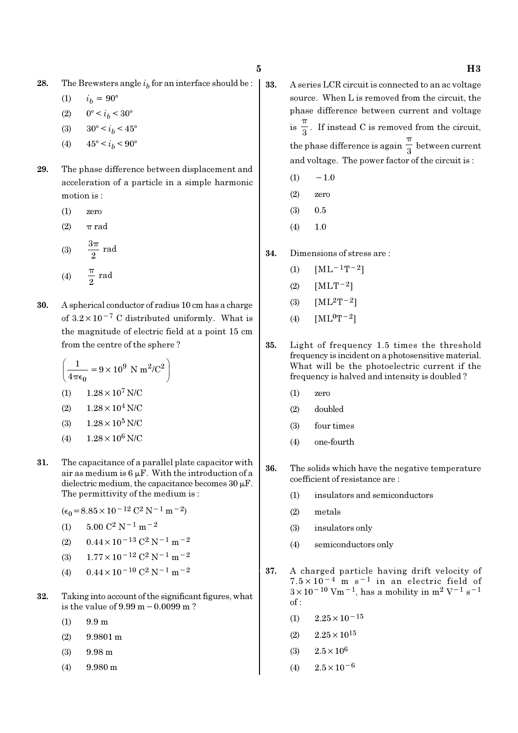**28.** The Brewsters angle  $i<sub>b</sub>$  for an interface should be :

$$
(1) \qquad i_b = 90^{\circ}
$$

- (2)  $0^{\circ} < i_b < 30^{\circ}$
- (3)  $30^{\circ} < i_b < 45^{\circ}$
- (4)  $45^{\circ} < i_b < 90^{\circ}$
- 29. The phase difference between displacement and acceleration of a particle in a simple harmonic motion is :
	- (1) zero
	- (2)  $\pi$  rad

(3) 
$$
\frac{3\pi}{2} \text{ rad}
$$
  
(4) 
$$
\frac{\pi}{2} \text{ rad}
$$

30. A spherical conductor of radius 10 cm has a charge of  $3.2 \times 10^{-7}$  C distributed uniformly. What is the magnitude of electric field at a point 15 cm from the centre of the sphere ?

$$
\left(\frac{1}{4\pi\epsilon_0} = 9 \times 10^9 \text{ N m}^2/\text{C}^2\right)
$$
  
(1) 1.28 × 10<sup>7</sup> N/C  
(2) 1.28 × 10<sup>4</sup> N/C  
(3) 1.28 × 10<sup>5</sup> N/C

- (4)  $1.28 \times 10^6$  N/C
- 31. The capacitance of a parallel plate capacitor with air as medium is  $6 \mu$ F. With the introduction of a dielectric medium, the capacitance becomes  $30 \mu$ F. The permittivity of the medium is :
	- $(\epsilon_0 = 8.85 \times 10^{-12} \text{ C}^2 \text{ N}^{-1} \text{ m}^{-2})$
	- (1)  $5.00 \text{ C}^2 \text{ N}^{-1} \text{ m}^{-2}$
	- (2)  $0.44 \times 10^{-13}$  C<sup>2</sup> N<sup>-1</sup> m<sup>-2</sup>
	- (3)  $1.77 \times 10^{-12}$  C<sup>2</sup> N<sup>-1</sup> m<sup>-2</sup>
	- (4)  $0.44 \times 10^{-10}$  C<sup>2</sup> N<sup>-1</sup> m<sup>-2</sup>
- 32. Taking into account of the significant figures, what is the value of 9.99 m−0.0099 m ?
	- (1) 9.9 m
	- (2) 9.9801 m
	- (3) 9.98 m
	- (4) 9.980 m
- 33. A series LCR circuit is connected to an ac voltage source. When L is removed from the circuit, the phase difference between current and voltage  $is \frac{1}{3}$ π . If instead C is removed from the circuit, the phase difference is again  $\frac{1}{3}$ π between current and voltage. The power factor of the circuit is :
	- $(1) \quad -1.0$
	- (2) zero
	- (3) 0.5
	- $(4)$  1.0
- 34. Dimensions of stress are :
	- (1)  $[ML^{-1}T^{-2}]$
	- $(2)$  [MLT<sup>-2</sup>]
	- (3)  $[ML^2T^{-2}]$
	- (4)  $[ML^0T^{-2}]$
- 35. Light of frequency 1.5 times the threshold frequency is incident on a photosensitive material. What will be the photoelectric current if the frequency is halved and intensity is doubled ?
	- (1) zero
	- (2) doubled
	- (3) four times
	- (4) one-fourth
- 36. The solids which have the negative temperature coefficient of resistance are :
	- (1) insulators and semiconductors
	- (2) metals
	- (3) insulators only
	- (4) semiconductors only
- 37. A charged particle having drift velocity of  $7.5 \times 10^{-4}$  m s<sup>-1</sup> in an electric field of  $3 \times 10^{-10}$  Vm<sup>-1</sup>, has a mobility in m<sup>2</sup> V<sup>-1</sup> s<sup>-1</sup> of :
	- $(1)$  2.25×10<sup>-15</sup>
	- $(2)$   $2.25 \times 10^{15}$
	- (3)  $2.5 \times 10^6$
	- $(4)$  2.5×10<sup>-6</sup>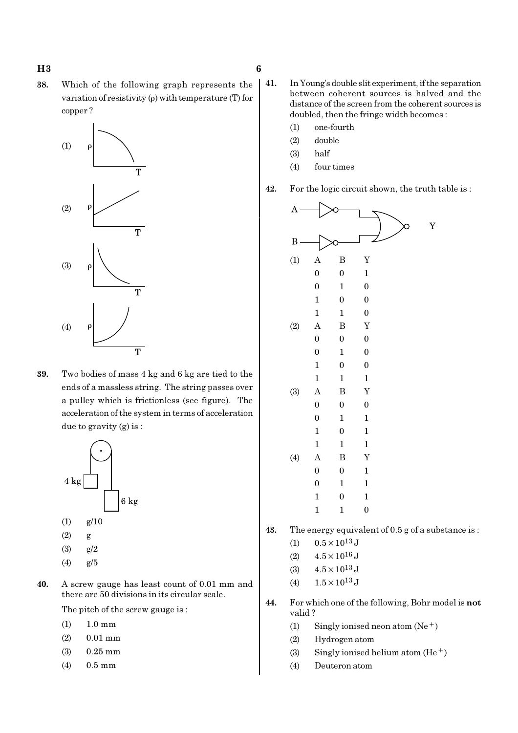38. Which of the following graph represents the variation of resistivity (ρ) with temperature (T) for copper ?



39. Two bodies of mass 4 kg and 6 kg are tied to the ends of a massless string. The string passes over a pulley which is frictionless (see figure). The acceleration of the system in terms of acceleration due to gravity (g) is :



- (4) g/5
- 
- 40. A screw gauge has least count of 0.01 mm and there are 50 divisions in its circular scale.

The pitch of the screw gauge is :

- (1) 1.0 mm
- (2) 0.01 mm
- (3) 0.25 mm
- (4) 0.5 mm
- 41. In Young's double slit experiment, if the separation between coherent sources is halved and the distance of the screen from the coherent sources is doubled, then the fringe width becomes :
	- (1) one-fourth
	- (2) double
	- (3) half
	- (4) four times

42. For the logic circuit shown, the truth table is :



43. The energy equivalent of 0.5 g of a substance is :

- (1)  $0.5 \times 10^{13}$  J
- (2)  $4.5 \times 10^{16}$  J
- (3)  $4.5 \times 10^{13}$  J
- (4)  $1.5 \times 10^{13}$  J
- 44. For which one of the following, Bohr model is not valid ?
	- (1) Singly ionised neon atom  $(Ne^+)$
	- (2) Hydrogen atom
	- (3) Singly ionised helium atom  $(He<sup>+</sup>)$
	- (4) Deuteron atom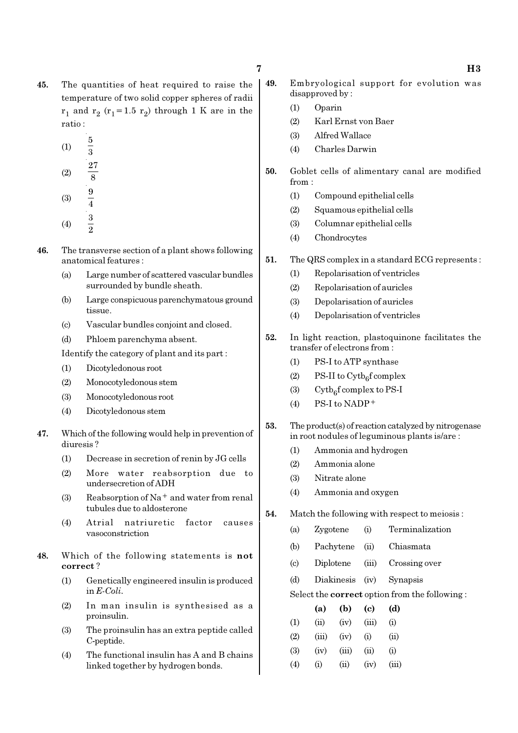45. The quantities of heat required to raise the temperature of two solid copper spheres of radii  $r_1$  and  $r_2$  ( $r_1$ =1.5  $r_2$ ) through 1 K are in the ratio :

$$
(1) \qquad \frac{5}{3}
$$

(2) 
$$
\frac{27}{8}
$$
  
(3)  $\frac{9}{4}$ 

$$
(4) \qquad \frac{3}{2}
$$

- 46. The transverse section of a plant shows following anatomical features :
	- (a) Large number of scattered vascular bundles surrounded by bundle sheath.
	- (b) Large conspicuous parenchymatous ground tissue.
	- (c) Vascular bundles conjoint and closed.
	- (d) Phloem parenchyma absent.

Identify the category of plant and its part :

- (1) Dicotyledonous root
- (2) Monocotyledonous stem
- (3) Monocotyledonous root
- (4) Dicotyledonous stem
- 47. Which of the following would help in prevention of diuresis ?
	- (1) Decrease in secretion of renin by JG cells
	- (2) More water reabsorption due to undersecretion of ADH
	- (3) Reabsorption of  $Na<sup>+</sup>$  and water from renal tubules due to aldosterone
	- (4) Atrial natriuretic factor causes vasoconstriction
- 48. Which of the following statements is not correct ?
	- (1) Genetically engineered insulin is produced in E-Coli.
	- (2) In man insulin is synthesised as a proinsulin.
	- (3) The proinsulin has an extra peptide called C-peptide.
	- (4) The functional insulin has A and B chains linked together by hydrogen bonds.
- 49. Embryological support for evolution was disapproved by :
	- (1) Oparin
	- (2) Karl Ernst von Baer
	- (3) Alfred Wallace
	- (4) Charles Darwin
- 50. Goblet cells of alimentary canal are modified from :
	- (1) Compound epithelial cells
	- (2) Squamous epithelial cells
	- (3) Columnar epithelial cells
	- (4) Chondrocytes
- 51. The QRS complex in a standard ECG represents :
	- (1) Repolarisation of ventricles
	- (2) Repolarisation of auricles
	- (3) Depolarisation of auricles
	- (4) Depolarisation of ventricles
- 52. In light reaction, plastoquinone facilitates the transfer of electrons from :
	- (1) PS-I to ATP synthase
	- (2) PS-II to  $\text{Cytb}_6\text{f}$  complex
	- (3) Cytb<sub>6</sub>f complex to PS-I
	- $(4)$  PS-I to NADP<sup>+</sup>
- 53. The product(s) of reaction catalyzed by nitrogenase in root nodules of leguminous plants is/are :
	- (1) Ammonia and hydrogen
	- (2) Ammonia alone
	- (3) Nitrate alone
	- (4) Ammonia and oxygen

#### 54. Match the following with respect to meiosis :

- (a) Zygotene (i) Terminalization
- (b) Pachytene (ii) Chiasmata
- (c) Diplotene (iii) Crossing over
- (d) Diakinesis (iv) Synapsis

#### Select the correct option from the following :

|                   | (a)   | (b)   | (c)   | (d)   |
|-------------------|-------|-------|-------|-------|
| (1)               | (ii)  | (iv)  | (iii) | (i)   |
| (2)               | (iii) | (iv)  | (i)   | (ii)  |
| (3)               | (iv)  | (iii) | (ii)  | (i)   |
| $\left( 4\right)$ | (i)   | (ii)  | (iv)  | (iii) |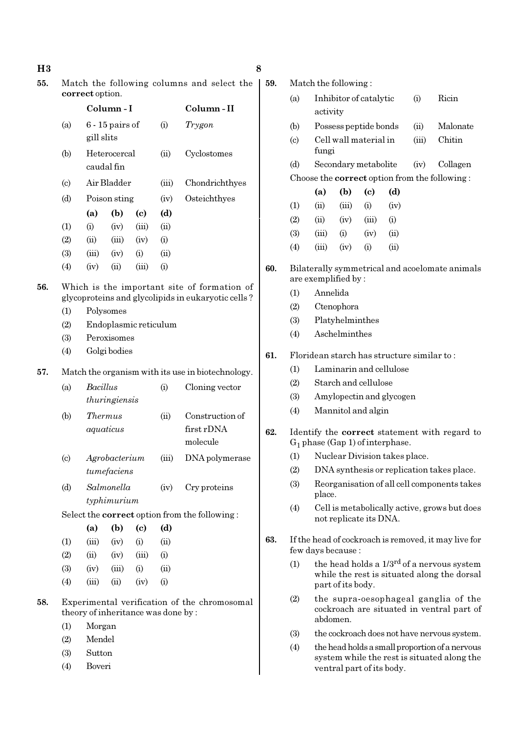$H3$  8

55. Match the following columns and select the correct option.

|                             |            | Column - I                 | Column-II |          |                |
|-----------------------------|------------|----------------------------|-----------|----------|----------------|
| (a)                         | gill slits | $6 - 15$ pairs of          |           | (i)      | Trygon         |
| (b)                         |            | Heterocercal<br>caudal fin |           | (ii)     | Cyclostomes    |
| $\left( \mathrm{c} \right)$ |            | Air Bladder                |           | (iii)    | Chondrichthyes |
| (d)                         |            | Poison sting               |           | (iv)     | Osteichthyes   |
|                             | (a)        | (b)                        | (c)       | (d)      |                |
| (1)                         | (i)        | (iv)                       | (iii)     | (ii)     |                |
| (2)                         | (ii)       | (iii)                      | (iv)      | (i)      |                |
| (3)                         | (iii)      | (iv)                       | (i)       | (ii)     |                |
| $\left( 4\right)$           | (iv)       | (ii)                       | (iii)     | $\rm(i)$ |                |

#### 56. Which is the important site of formation of glycoproteins and glycolipids in eukaryotic cells ?

- (1) Polysomes
- (2) Endoplasmic reticulum
- (3) Peroxisomes
- (4) Golgi bodies

#### 57. Match the organism with its use in biotechnology.

| (a)                         | <i>Bacillus</i> | (i)            | Cloning vector  |
|-----------------------------|-----------------|----------------|-----------------|
|                             | thuringiensis   |                |                 |
| (b)                         | <i>Thermus</i>  | $\overline{u}$ | Construction of |
|                             | aquaticus       |                | first rDNA      |
|                             |                 |                | molecule        |
| $\left( \mathrm{c} \right)$ | Agrobacterium   | (iii)          | DNA polymerase  |
|                             | tumefaciens     |                |                 |

(d) Salmonella (iv) Cry proteins typhimurium

Select the correct option from the following :

|                   | (a)   | (b)   | (c)   | (d)  |
|-------------------|-------|-------|-------|------|
| $\rm(1)$          | (iii) | (iv)  | (i)   | (ii) |
| (2)               | (ii)  | (iv)  | (iii) | (i)  |
| (3)               | (iv)  | (iii) | (i)   | (ii) |
| $\left( 4\right)$ | (iii) | (ii)  | (iv)  | (i)  |

- 58. Experimental verification of the chromosomal theory of inheritance was done by :
	- (1) Morgan
	- (2) Mendel
	- (3) Sutton
	- (4) Boveri

| 59. | Match the following:                                                                |                                                                       |                |                            |                               |       |                                                      |  |  |
|-----|-------------------------------------------------------------------------------------|-----------------------------------------------------------------------|----------------|----------------------------|-------------------------------|-------|------------------------------------------------------|--|--|
|     | (a)                                                                                 | activity                                                              |                | Inhibitor of catalytic     | (i)                           | Ricin |                                                      |  |  |
|     | (b)                                                                                 |                                                                       |                | Possess peptide bonds      |                               | (ii)  | Malonate                                             |  |  |
|     | $\left( \mathrm{c}\right)$                                                          | fungi                                                                 |                | Cell wall material in      |                               | (iii) | Chitin                                               |  |  |
|     | (d)                                                                                 |                                                                       |                | Secondary metabolite       |                               | (iv)  | Collagen                                             |  |  |
|     |                                                                                     |                                                                       |                |                            |                               |       | Choose the <b>correct</b> option from the following: |  |  |
|     |                                                                                     | (a)                                                                   | (b)            | $\left( \mathrm{e}\right)$ | (d)                           |       |                                                      |  |  |
|     | (1)                                                                                 | (ii)                                                                  | (iii)          | (i)                        | (iv)                          |       |                                                      |  |  |
|     | (2)                                                                                 | (ii)                                                                  |                | $(iv)$ $(iii)$             | (i)                           |       |                                                      |  |  |
|     | (3)                                                                                 |                                                                       | $(iii)$ $(i)$  | $(iv)$ $(ii)$              |                               |       |                                                      |  |  |
|     | (4)                                                                                 |                                                                       | $(iii)$ $(iv)$ | (i)                        | (ii)                          |       |                                                      |  |  |
| 60. |                                                                                     | Bilaterally symmetrical and acoelomate animals<br>are exemplified by: |                |                            |                               |       |                                                      |  |  |
|     | (1)                                                                                 | Annelida                                                              |                |                            |                               |       |                                                      |  |  |
|     | (2)                                                                                 | Ctenophora                                                            |                |                            |                               |       |                                                      |  |  |
|     | (3)                                                                                 | Platyhelminthes                                                       |                |                            |                               |       |                                                      |  |  |
|     | (4)                                                                                 |                                                                       | Aschelminthes  |                            |                               |       |                                                      |  |  |
| 61. |                                                                                     | Floridean starch has structure similar to:                            |                |                            |                               |       |                                                      |  |  |
|     | (1)                                                                                 | Laminarin and cellulose                                               |                |                            |                               |       |                                                      |  |  |
|     | (2)                                                                                 | Starch and cellulose                                                  |                |                            |                               |       |                                                      |  |  |
|     | (3)                                                                                 | Amylopectin and glycogen                                              |                |                            |                               |       |                                                      |  |  |
|     | (4)                                                                                 | Mannitol and algin                                                    |                |                            |                               |       |                                                      |  |  |
| 62. | Identify the correct statement with regard to<br>$G_1$ phase (Gap 1) of interphase. |                                                                       |                |                            |                               |       |                                                      |  |  |
|     | (1)                                                                                 |                                                                       |                |                            | Nuclear Division takes place. |       |                                                      |  |  |
|     | (2)                                                                                 |                                                                       |                |                            |                               |       | DNA synthesis or replication takes place.            |  |  |
|     | (3)                                                                                 | place.                                                                |                |                            |                               |       | Reorganisation of all cell components takes          |  |  |
|     | (4)                                                                                 |                                                                       |                | not replicate its DNA.     |                               |       | Cell is metabolically active, grows but does         |  |  |
| 63. |                                                                                     | few days because :                                                    |                |                            |                               |       | If the head of cockroach is removed, it may live for |  |  |

- (1) the head holds a  $1/3^{rd}$  of a nervous system while the rest is situated along the dorsal part of its body.
- (2) the supra-oesophageal ganglia of the cockroach are situated in ventral part of abdomen.
- (3) the cockroach does not have nervous system.
- (4) the head holds a small proportion of a nervous system while the rest is situated along the ventral part of its body.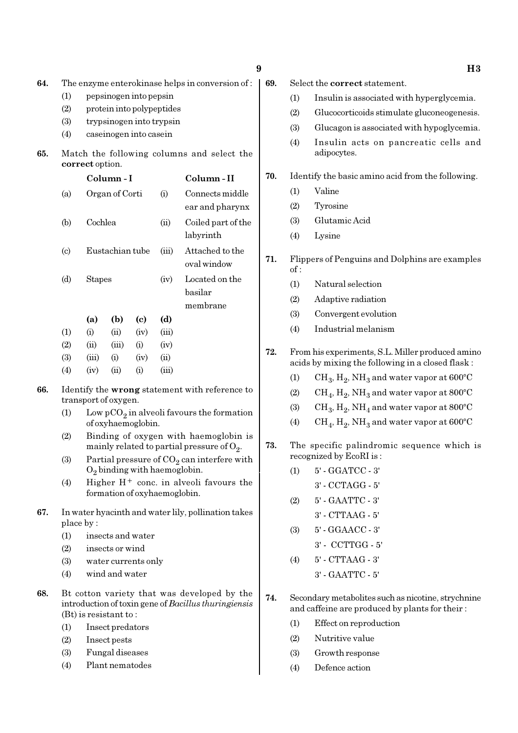| ı<br>٠<br>¢<br>۰.<br>۰,<br>×<br>۰. |
|------------------------------------|
|                                    |

- 64. The enzyme enterokinase helps in conversion of :
	- (1) pepsinogen into pepsin
	- (2) protein into polypeptides
	- (3) trypsinogen into trypsin
	- (4) caseinogen into casein

#### 65. Match the following columns and select the correct option.

|                             |               | Column - I      |      |       | Column - II                           |  |  |
|-----------------------------|---------------|-----------------|------|-------|---------------------------------------|--|--|
| (a)                         |               | Organ of Corti  |      | (i)   | Connects middle<br>ear and pharynx    |  |  |
| (b)                         | Cochlea       |                 |      | (ii)  | Coiled part of the<br>labyrinth       |  |  |
| $\left( \mathrm{c} \right)$ |               | Eustachian tube |      | (iii) | Attached to the<br>oval window        |  |  |
| (d)                         | <b>Stapes</b> |                 |      | (iv)  | Located on the<br>basilar<br>membrane |  |  |
|                             | (a)           | (b)             | (c)  | (d)   |                                       |  |  |
| (1)                         | (i)           | (ii)            | (iv) | (iii) |                                       |  |  |
| (2)                         | (ii)          | (iii)           | (i)  | (iv)  |                                       |  |  |
| (3)                         | (iii)         | $\rm(i)$        | (iv) | (ii)  |                                       |  |  |
| (4)                         | (iv)          | $\rm (ii)$      | (i)  | (iii) |                                       |  |  |

- 66. Identify the wrong statement with reference to transport of oxygen.
	- (1) Low  $pCO_2$  in alveoli favours the formation of oxyhaemoglobin.
	- (2) Binding of oxygen with haemoglobin is mainly related to partial pressure of  $\mathrm{O}_2.$
	- (3) Partial pressure of  $CO_2$  can interfere with  $O_2$  binding with haemoglobin.
	- (4) Higher  $H^+$  conc. in alveoli favours the formation of oxyhaemoglobin.
- 67. In water hyacinth and water lily, pollination takes place by :
	- (1) insects and water
	- (2) insects or wind
	- (3) water currents only
	- (4) wind and water
- 68. Bt cotton variety that was developed by the introduction of toxin gene of Bacillus thuringiensis (Bt) is resistant to :
	- (1) Insect predators
	- (2) Insect pests
	- (3) Fungal diseases
	- (4) Plant nematodes
- 69. Select the correct statement.
	- (1) Insulin is associated with hyperglycemia.
	- (2) Glucocorticoids stimulate gluconeogenesis.
	- (3) Glucagon is associated with hypoglycemia.
	- (4) Insulin acts on pancreatic cells and adipocytes.

#### 70. Identify the basic amino acid from the following.

- (1) Valine
- (2) Tyrosine
- (3) Glutamic Acid
- (4) Lysine
- 71. Flippers of Penguins and Dolphins are examples  $of:$ 
	- (1) Natural selection
	- (2) Adaptive radiation
	- (3) Convergent evolution
	- (4) Industrial melanism
- 72. From his experiments, S.L. Miller produced amino acids by mixing the following in a closed flask :
	- (1)  $\mathrm{CH}_3, \mathrm{H}_2, \mathrm{NH}_3$  and water vapor at 600°C
	- (2)  $\rm CH_4, H_2, NH_3$  and water vapor at 800°C
	- (3)  $\mathrm{CH}_3, \mathrm{H}_2, \mathrm{NH}_4$  and water vapor at 800°C
	- (4)  $\rm CH_{4}$ ,  $\rm H_{2}$ ,  $\rm NH_{3}$  and water vapor at 600°C
- 73. The specific palindromic sequence which is recognized by EcoRI is :
	- (1) 5' GGATCC 3'
		- 3' CCTAGG 5'
	- (2) 5' GAATTC 3'
		- 3' CTTAAG 5'
	- (3) 5' GGAACC 3'
		- 3' CCTTGG 5'
	- (4) 5' CTTAAG 3' 3' - GAATTC - 5'
- 74. Secondary metabolites such as nicotine, strychnine and caffeine are produced by plants for their :
	- (1) Effect on reproduction
	- (2) Nutritive value
	- (3) Growth response
	- (4) Defence action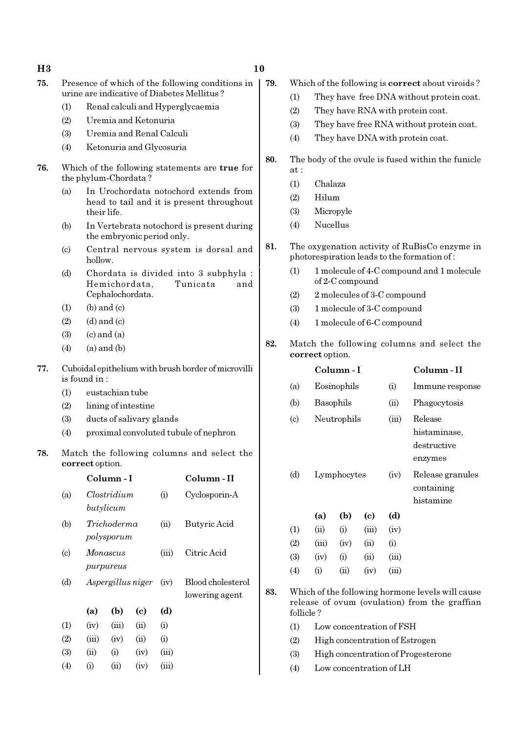#### $H3$  and  $10$

| 75. | Presence of which of the following conditions in |  |
|-----|--------------------------------------------------|--|
|     | urine are indicative of Diabetes Mellitus?       |  |

- (1) Renal calculi and Hyperglycaemia
- (2) Uremia and Ketonuria
- (3) Uremia and Renal Calculi
- (4) Ketonuria and Glycosuria
- 76. Which of the following statements are true for the phylum-Chordata ?
	- (a) In Urochordata notochord extends from head to tail and it is present throughout their life.
	- (b) In Vertebrata notochord is present during the embryonic period only.
	- (c) Central nervous system is dorsal and hollow.
	- (d) Chordata is divided into 3 subphyla : Hemichordata, Tunicata and Cephalochordata.
	- $(1)$  (b) and  $(c)$
	- $(2)$   $(d)$  and  $(c)$
	- $(3)$   $(c)$  and  $(a)$
	- $(4)$   $(a)$  and  $(b)$
- 77. Cuboidal epithelium with brush border of microvilli is found in :
	- (1) eustachian tube
	- (2) lining of intestine
	- (3) ducts of salivary glands
	- (4) proximal convoluted tubule of nephron
- 78. Match the following columns and select the correct option.

|                            |       | Column - I                |                            | Column - II |                                     |
|----------------------------|-------|---------------------------|----------------------------|-------------|-------------------------------------|
| (a)                        |       | Clostridium<br>butylicum  |                            | (i)         | Cyclosporin-A                       |
| (b)                        |       | Trichoderma<br>polysporum |                            | (ii)        | Butyric Acid                        |
| $\left( \mathrm{c}\right)$ |       | Monascus<br>purpureus     |                            | (iii)       | Citric Acid                         |
| (d)                        |       | Aspergillus niger         |                            |             | Blood cholesterol<br>lowering agent |
|                            | (a)   | (b)                       | $\left( \mathrm{e}\right)$ | (d)         |                                     |
| (1)                        | (iv)  | (iii)                     | (ii)                       | (i)         |                                     |
| (2)                        | (iii) | (iv)                      | (ii)                       | (i)         |                                     |
| (3)                        | (ii)  | (i)                       | (iv)                       | (iii)       |                                     |
| (4)                        | (i)   | (ii)                      | (iv)                       | (iii)       |                                     |
|                            |       |                           |                            |             |                                     |

- 79. Which of the following is correct about viroids ?
	- (1) They have free DNA without protein coat.
	- (2) They have RNA with protein coat.
	- (3) They have free RNA without protein coat.
	- (4) They have DNA with protein coat.
- 80. The body of the ovule is fused within the funicle at :
	- (1) Chalaza
	- (2) Hilum
	- (3) Micropyle
	- (4) Nucellus
- 81. The oxygenation activity of RuBisCo enzyme in photorespiration leads to the formation of :
	- (1) 1 molecule of 4-C compound and 1 molecule of 2-C compound
	- (2) 2 molecules of 3-C compound
	- (3) 1 molecule of 3-C compound
	- (4) 1 molecule of 6-C compound
- 82. Match the following columns and select the correct option.

|     |                             |             | Column - I |                          | Column - II |                                                                                                   |
|-----|-----------------------------|-------------|------------|--------------------------|-------------|---------------------------------------------------------------------------------------------------|
|     | (a)                         | Eosinophils |            |                          | (i)         | Immune response                                                                                   |
|     | (b)                         | Basophils   |            |                          | (ii)        | Phagocytosis                                                                                      |
|     | $\left( \mathrm{c} \right)$ | Neutrophils |            |                          | (iii)       | Release<br>histaminase,<br>destructive<br>enzymes                                                 |
|     | (d)                         | Lymphocytes |            |                          | (iv)        | Release granules<br>containing<br>histamine                                                       |
|     |                             | (a)         | (b)        | (c)                      | (d)         |                                                                                                   |
|     | (1)                         | (ii)        | (i)        | (iii)                    | (iv)        |                                                                                                   |
|     | (2)                         | (iii)       | (iv)       | (ii)                     | (i)         |                                                                                                   |
|     | (3)                         | (iv)        | (i)        | (ii)                     | (iii)       |                                                                                                   |
|     | (4)                         | (i)         | (ii)       | (iv)                     | (iii)       |                                                                                                   |
| 83. | follicle?                   |             |            |                          |             | Which of the following hormone levels will cause<br>release of ovum (ovulation) from the graffian |
|     | (1)                         |             |            | Low concentration of FSH |             |                                                                                                   |

- (2) High concentration of Estrogen
- (3) High concentration of Progesterone
- 
- (4) Low concentration of LH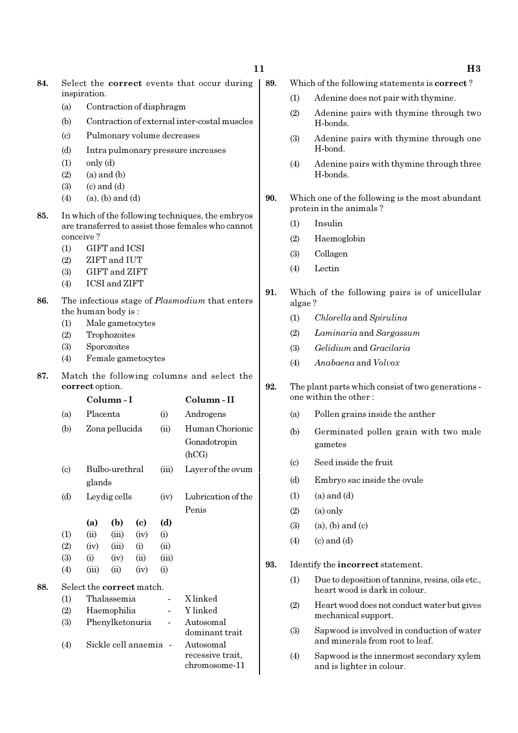- 84. Select the correct events that occur during inspiration.
	- (a) Contraction of diaphragm
	- (b) Contraction of external inter-costal muscles
	- (c) Pulmonary volume decreases
	- (d) Intra pulmonary pressure increases
	- $(1)$  only  $(d)$
	- $(2)$   $(a)$  and  $(b)$
	- $(3)$   $(c)$  and  $(d)$
	- $(4)$   $(a)$ ,  $(b)$  and  $(d)$
- 85. In which of the following techniques, the embryos are transferred to assist those females who cannot conceive ?
	- (1) GIFT and ICSI
	- (2) ZIFT and IUT
	- (3) GIFT and ZIFT
	- (4) ICSI and ZIFT
- 86. The infectious stage of *Plasmodium* that enters the human body is :
	- (1) Male gametocytes
	- (2) Trophozoites
	- (3) Sporozoites
	- (4) Female gametocytes
- 87. Match the following columns and select the correct option.

|     |                                  |        | Column - I          | Column - II |                          |                    |  |  |
|-----|----------------------------------|--------|---------------------|-------------|--------------------------|--------------------|--|--|
|     | (a)                              |        | Placenta            |             |                          | Androgens          |  |  |
|     | (b)                              |        | Zona pellucida      |             | (ii)                     | Human Chorionic    |  |  |
|     |                                  |        |                     |             |                          | Gonadotropin       |  |  |
|     |                                  |        |                     |             |                          | (hCG)              |  |  |
|     | $\left( \mathrm{c}\right)$       |        | Bulbo-urethral      |             | (iii)                    | Layer of the ovum  |  |  |
|     |                                  | glands |                     |             |                          |                    |  |  |
|     | (d)                              |        | Leydig cells        |             |                          | Lubrication of the |  |  |
|     |                                  |        |                     |             |                          | Penis              |  |  |
|     |                                  | (a)    | (b)                 | (c)         | (d)                      |                    |  |  |
|     | (1)                              | (ii)   | (iii)               | (iv)        | (i)                      |                    |  |  |
|     | (2)                              | (iv)   | (iii)               | (i)         | (ii)                     |                    |  |  |
|     | (3)                              | (i)    | (iv)                | (ii)        | (iii)                    |                    |  |  |
|     | (4)                              | (iii)  | (ii)                | (iv)        | $\rm (i)$                |                    |  |  |
| 88. | Select the <b>correct</b> match. |        |                     |             |                          |                    |  |  |
|     | (1)                              |        | Thalassemia         |             |                          | X linked           |  |  |
|     | (2)                              |        | Haemophilia         |             |                          | Y linked           |  |  |
|     | (3)                              |        | Phenylketonuria     |             |                          | Autosomal          |  |  |
|     |                                  |        |                     |             |                          | dominant trait     |  |  |
|     | (4)                              |        | Sickle cell anaemia |             | $\overline{\phantom{a}}$ | Autosomal          |  |  |
|     |                                  |        |                     |             |                          | recessive trait,   |  |  |
|     |                                  |        |                     |             |                          | chromosome-11      |  |  |

- 89. Which of the following statements is correct ?
	- (1) Adenine does not pair with thymine.
	- (2) Adenine pairs with thymine through two H-bonds.
	- (3) Adenine pairs with thymine through one H-bond.
	- (4) Adenine pairs with thymine through three H-bonds.
- 90. Which one of the following is the most abundant protein in the animals ?
	- (1) Insulin
	- (2) Haemoglobin
	- (3) Collagen
	- (4) Lectin
- 91. Which of the following pairs is of unicellular algae ?
	- (1) Chlorella and Spirulina
	- (2) Laminaria and Sargassum
	- (3) Gelidium and Gracilaria
	- (4) Anabaena and Volvox
- 92. The plant parts which consist of two generations one within the other :
	- (a) Pollen grains inside the anther
	- (b) Germinated pollen grain with two male gametes
	- (c) Seed inside the fruit
	- (d) Embryo sac inside the ovule
	- $(1)$   $(a)$  and  $(d)$
	- $(2)$   $(a)$  only
	- $(3)$   $(a)$ ,  $(b)$  and  $(c)$
	- $(4)$   $(c)$  and  $(d)$
- 93. Identify the incorrect statement.
	- (1) Due to deposition of tannins, resins, oils etc., heart wood is dark in colour.
	- (2) Heart wood does not conduct water but gives mechanical support.
	- (3) Sapwood is involved in conduction of water and minerals from root to leaf.
	- (4) Sapwood is the innermost secondary xylem and is lighter in colour.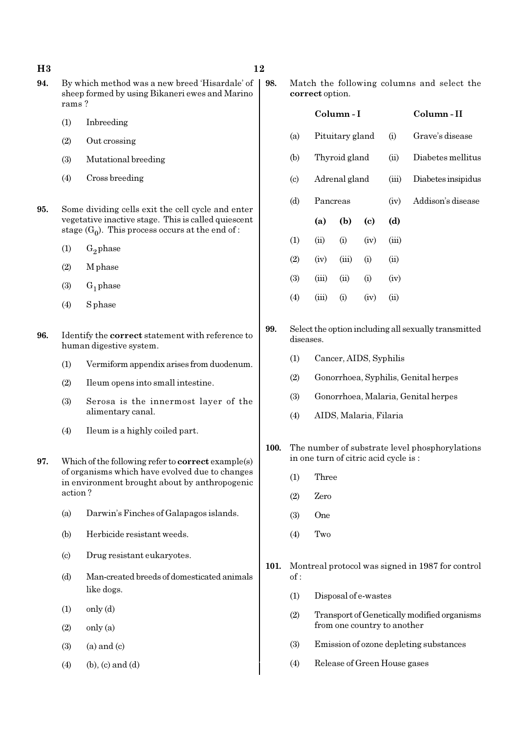- 94. By which method was a new breed 'Hisardale' of sheep formed by using Bikaneri ewes and Marino rams ?
	- (1) Inbreeding
	- (2) Out crossing
	- (3) Mutational breeding
	- (4) Cross breeding
- 95. Some dividing cells exit the cell cycle and enter vegetative inactive stage. This is called quiescent stage  $(G_0)$ . This process occurs at the end of :
	- $(1)$  G<sub>2</sub> phase
	- (2) M phase
	- $(3)$   $G_1$  phase
	- (4) S phase
- 96. Identify the correct statement with reference to human digestive system.
	- (1) Vermiform appendix arises from duodenum.
	- (2) Ileum opens into small intestine.
	- (3) Serosa is the innermost layer of the alimentary canal.
	- (4) Ileum is a highly coiled part.
- 97. Which of the following refer to correct example(s) of organisms which have evolved due to changes in environment brought about by anthropogenic action ?
	- (a) Darwin's Finches of Galapagos islands.
	- (b) Herbicide resistant weeds.
	- (c) Drug resistant eukaryotes.
	- (d) Man-created breeds of domesticated animals like dogs.
	- $(1)$  only  $(d)$
	- $(2)$  only  $(a)$
	- $(3)$   $(a)$  and  $(c)$
	- $(4)$  (b), (c) and (d)

98. Match the following columns and select the correct option.

|     |          | Column - I      |      | Column - II |                             |
|-----|----------|-----------------|------|-------------|-----------------------------|
| (a) |          | Pituitary gland |      |             | Grave's disease             |
| (b) |          | Thyroid gland   |      | (ii)        | Diabetes mellitus           |
| (c) |          | Adrenal gland   |      |             | (iii)<br>Diabetes insipidus |
| (d) | Pancreas |                 |      | (iv)        | Addison's disease           |
|     |          |                 |      |             |                             |
|     | (a)      | (b)             | (c)  | (d)         |                             |
| (1) | (ii)     | (i)             | (iv) | (iii)       |                             |
| (2) | (iv)     | (iii)           | (i)  | (ii)        |                             |
| (3) | (iii)    | (ii)            | (i)  | (iv)        |                             |
| (4) | (iii)    | (i)             | (iv) | $\sin$      |                             |

- 99. Select the option including all sexually transmitted diseases.
	- (1) Cancer, AIDS, Syphilis
	- (2) Gonorrhoea, Syphilis, Genital herpes
	- (3) Gonorrhoea, Malaria, Genital herpes
	- (4) AIDS, Malaria, Filaria
- 100. The number of substrate level phosphorylations in one turn of citric acid cycle is :
	- (1) Three
	- (2) Zero
	- (3) One
	- (4) Two
- 101. Montreal protocol was signed in 1987 for control of :
	- (1) Disposal of e-wastes
	- (2) Transport of Genetically modified organisms from one country to another
	- (3) Emission of ozone depleting substances
	- (4) Release of Green House gases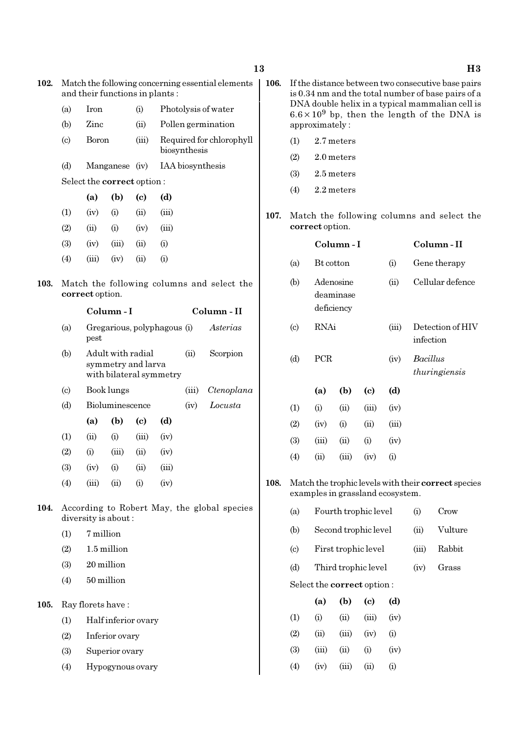| 102. |                            | Match the following concerning essential elements<br>and their functions in plants:                            |                                   |       |                    |                  |                          |  |
|------|----------------------------|----------------------------------------------------------------------------------------------------------------|-----------------------------------|-------|--------------------|------------------|--------------------------|--|
|      | (a)                        | Iron                                                                                                           |                                   | (i)   |                    |                  | Photolysis of water      |  |
|      | (b)                        | Zinc                                                                                                           |                                   | (ii)  | Pollen germination |                  |                          |  |
|      | $\left( \mathrm{c}\right)$ | Boron                                                                                                          |                                   | (iii) |                    | biosynthesis     | Required for chlorophyll |  |
|      | (d)                        |                                                                                                                | Manganese                         | (iv)  |                    | IAA biosynthesis |                          |  |
|      |                            |                                                                                                                | Select the <b>correct</b> option: |       |                    |                  |                          |  |
|      |                            | (a)                                                                                                            | (b)                               | (c)   | (d)                |                  |                          |  |
|      | (i)<br>(1)<br>(iv)         |                                                                                                                |                                   | (ii)  | (iii)              |                  |                          |  |
|      | (2)                        | (ii)                                                                                                           | (i)                               | (iv)  | (iii)              |                  |                          |  |
|      | (3)                        | (iv)                                                                                                           | (iii)                             | (ii)  | (i)                |                  |                          |  |
|      | $\left( 4\right)$          | (iii)                                                                                                          | (iv)                              | (ii)  | (i)                |                  |                          |  |
| 103. |                            | Match the following columns and select the<br>correct option.                                                  |                                   |       |                    |                  |                          |  |
|      |                            |                                                                                                                | Column - I                        |       |                    |                  | Column - II              |  |
|      | (a)                        | Gregarious, polyphagous (i)<br>Asterias<br>pest<br>Adult with radial<br>(ii)<br>Scorpion<br>symmetry and larva |                                   |       |                    |                  |                          |  |
|      | (b)                        |                                                                                                                |                                   |       |                    |                  |                          |  |

- - (b) Adult with radial (ii) Scorpion with bilateral symmetry (c) Book lungs (iii) Ctenoplana
	- (d) Bioluminescence (iv) Locusta (a) (b) (c) (d)  $(1)$   $(ii)$   $(i)$   $(iii)$   $(iv)$  $(2)$  (i) (iii) (ii) (iv) (3) (iv) (i) (ii) (iii) (4) (iii) (ii) (i) (iv)
- 104. According to Robert May, the global species diversity is about :
	- (1) 7 million
	- (2) 1.5 million
	- (3) 20 million
	- (4) 50 million
- 105. Ray florets have :
	- (1) Half inferior ovary
	- (2) Inferior ovary
	- (3) Superior ovary
	- (4) Hypogynous ovary
- 106. If the distance between two consecutive base pairs is 0.34 nm and the total number of base pairs of a DNA double helix in a typical mammalian cell is  $6.6 \times 10^9$  bp, then the length of the DNA is approximately :
	- (1) 2.7 meters
	- (2) 2.0 meters
	- (3) 2.5 meters
	- (4) 2.2 meters
- 107. Match the following columns and select the correct option.

|                             |                         | Column - I | Column - II |       |                                  |
|-----------------------------|-------------------------|------------|-------------|-------|----------------------------------|
| (a)                         | Bt cotton               |            |             | (i)   | Gene therapy                     |
| (b)                         | Adenosine<br>deficiency | deaminase  |             | (ii)  | Cellular defence                 |
| $\left( \mathrm{c} \right)$ | <b>RNAi</b>             |            |             | (iii) | Detection of HIV<br>infection    |
| (d)                         | <b>PCR</b>              |            |             | (iv)  | <i>Bacillus</i><br>thuringiensis |
|                             | (a)                     | (b)        | (c)         | (d)   |                                  |
| (1)                         | (i)                     | (ii)       | (iii)       | (iv)  |                                  |
| (2)                         | (iv)                    | (i)        | (ii)        | (iii) |                                  |
| (3)                         | (iii)                   | (ii)       | (i)         | (iv)  |                                  |
| (4)                         | (ii)                    | (iii)      | (iv)        | (i)   |                                  |
|                             |                         |            |             |       |                                  |

- 108. Match the trophic levels with their correct species examples in grassland ecosystem.
	- (a) Fourth trophic level (i) Crow
		- (b) Second trophic level (ii) Vulture
		- (c) First trophic level (iii) Rabbit
		- (d) Third trophic level (iv) Grass

Select the correct option :

|                  | (a)       | (b)   | (c)   | (d)  |
|------------------|-----------|-------|-------|------|
| $\left(1\right)$ | $\rm (i)$ | (ii)  | (iii) | (iv) |
| (2)              | (ii)      | (iii) | (iv)  | (i)  |
| (3)              | (iii)     | (ii)  | (i)   | (iv) |
| (4)              | (iv)      | (iii) | (ii)  | (i)  |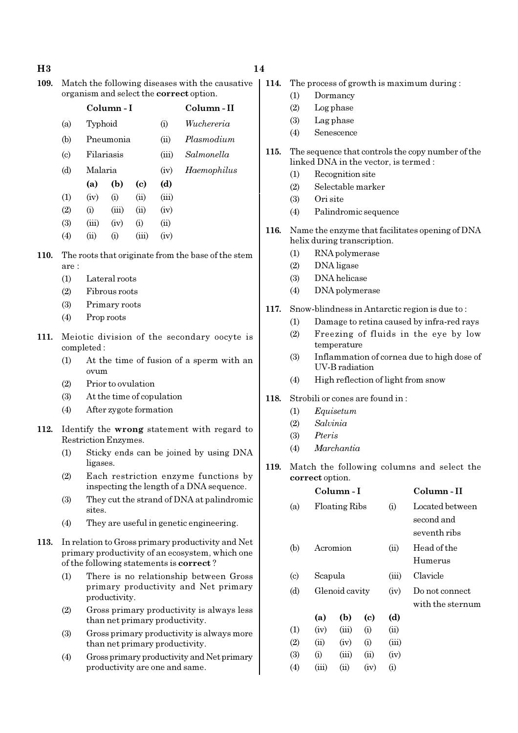#### $H3$  and  $14$

109. Match the following diseases with the causative organism and select the correct option.

|                            |         | Column-I   |                            |       | Column - II |
|----------------------------|---------|------------|----------------------------|-------|-------------|
| (a)                        | Typhoid |            |                            | (i)   | Wuchereria  |
| (b)                        |         | Pneumonia  |                            | (ii)  | Plasmodium  |
| $\left( \mathrm{c}\right)$ |         | Filariasis |                            | (iii) | Salmonella  |
| (d)                        | Malaria |            |                            | (iv)  | Haemophilus |
|                            | (a)     | (b)        | $\left( \mathrm{e}\right)$ | (d)   |             |
| $\left(1\right)$           | (iv)    | (i)        | (ii)                       | (iii) |             |
| (2)                        | (i)     | (iii)      | (ii)                       | (iv)  |             |
| (3)                        | (iii)   | (iv)       | (i)                        | (ii)  |             |
| $\left( 4\right)$          | (ii)    | (i)        | (iii)                      | (iv)  |             |

- 110. The roots that originate from the base of the stem are :
	- (1) Lateral roots
	- (2) Fibrous roots
	- (3) Primary roots
	- (4) Prop roots
- 111. Meiotic division of the secondary oocyte is completed :
	- (1) At the time of fusion of a sperm with an ovum
	- (2) Prior to ovulation
	- (3) At the time of copulation
	- (4) After zygote formation
- 112. Identify the wrong statement with regard to Restriction Enzymes.
	- (1) Sticky ends can be joined by using DNA ligases.
	- (2) Each restriction enzyme functions by inspecting the length of a DNA sequence.
	- (3) They cut the strand of DNA at palindromic sites.
	- (4) They are useful in genetic engineering.
- 113. In relation to Gross primary productivity and Net primary productivity of an ecosystem, which one of the following statements is correct ?
	- (1) There is no relationship between Gross primary productivity and Net primary productivity.
	- (2) Gross primary productivity is always less than net primary productivity.
	- (3) Gross primary productivity is always more than net primary productivity.
	- (4) Gross primary productivity and Net primary productivity are one and same.
- 114. The process of growth is maximum during :
	- (1) Dormancy
	- (2) Log phase
	- (3) Lag phase
	- (4) Senescence
- 115. The sequence that controls the copy number of the linked DNA in the vector, is termed :
	- (1) Recognition site
	- (2) Selectable marker
	- (3) Ori site
	- (4) Palindromic sequence
- 116. Name the enzyme that facilitates opening of DNA helix during transcription.
	- (1) RNA polymerase
	- (2) DNA ligase
	- (3) DNA helicase
	- (4) DNA polymerase
- 117. Snow-blindness in Antarctic region is due to :
	- (1) Damage to retina caused by infra-red rays
	- (2) Freezing of fluids in the eye by low temperature
	- (3) Inflammation of cornea due to high dose of UV-B radiation
	- (4) High reflection of light from snow
- 118. Strobili or cones are found in :
	- (1) Equisetum
	- (2) Salvinia
	- (3) Pteris
	- (4) Marchantia
- 119. Match the following columns and select the correct option.

|                             |         | Column - I           |      |       | Column - II      |
|-----------------------------|---------|----------------------|------|-------|------------------|
| (a)                         |         | <b>Floating Ribs</b> |      | (i)   | Located between  |
|                             |         |                      |      |       | second and       |
|                             |         |                      |      |       | seventh ribs     |
| (b)                         |         | Acromion             |      | (ii)  | Head of the      |
|                             |         |                      |      |       | Humerus          |
| $\left( \mathrm{c} \right)$ | Scapula |                      |      | (iii) | Clavicle         |
| (d)                         |         | Glenoid cavity       |      | (iv)  | Do not connect   |
|                             |         |                      |      |       | with the sternum |
|                             | (a)     | (b)                  | (c)  | (d)   |                  |
| (1)                         | (iv)    | (iii)                | (i)  | (ii)  |                  |
| (2)                         | (ii)    | (iv)                 | (i)  | (iii) |                  |
| (3)                         | (i)     | (iii)                | (ii) | (iv)  |                  |
| $\left( 4\right)$           | (iii)   | $\rm (ii)$           | (iv) | (i)   |                  |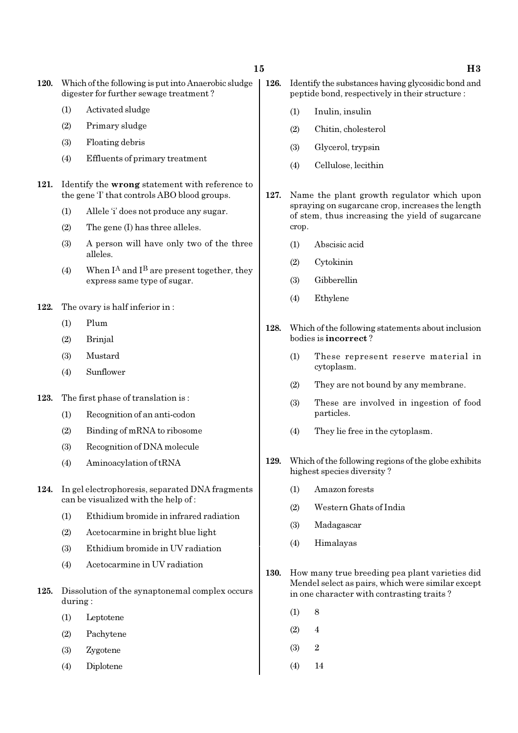120. Which of the following is put into Anaerobic sludge digester for further sewage treatment ?

- (1) Activated sludge
- (2) Primary sludge
- (3) Floating debris
- (4) Effluents of primary treatment
- 121. Identify the wrong statement with reference to the gene 'I' that controls ABO blood groups.
	- (1) Allele 'i' does not produce any sugar.
	- (2) The gene (I) has three alleles.
	- (3) A person will have only two of the three alleles.
	- (4) When  $I^A$  and  $I^B$  are present together, they express same type of sugar.
- 122. The ovary is half inferior in :
	- (1) Plum
	- (2) Brinjal
	- (3) Mustard
	- (4) Sunflower
- 123. The first phase of translation is :
	- (1) Recognition of an anti-codon
	- (2) Binding of mRNA to ribosome
	- (3) Recognition of DNA molecule
	- (4) Aminoacylation of tRNA
- 124. In gel electrophoresis, separated DNA fragments can be visualized with the help of :
	- (1) Ethidium bromide in infrared radiation
	- (2) Acetocarmine in bright blue light
	- (3) Ethidium bromide in UV radiation
	- (4) Acetocarmine in UV radiation
- 125. Dissolution of the synaptonemal complex occurs during :
	- (1) Leptotene
	- (2) Pachytene
	- (3) Zygotene
	- (4) Diplotene
- 126. Identify the substances having glycosidic bond and peptide bond, respectively in their structure :
	- (1) Inulin, insulin
	- (2) Chitin, cholesterol
	- (3) Glycerol, trypsin
	- (4) Cellulose, lecithin
- 127. Name the plant growth regulator which upon spraying on sugarcane crop, increases the length of stem, thus increasing the yield of sugarcane crop.
	- (1) Abscisic acid
	- (2) Cytokinin
	- (3) Gibberellin
	- (4) Ethylene
- 128. Which of the following statements about inclusion bodies is incorrect ?
	- (1) These represent reserve material in cytoplasm.
	- (2) They are not bound by any membrane.
	- (3) These are involved in ingestion of food particles.
	- (4) They lie free in the cytoplasm.
- 129. Which of the following regions of the globe exhibits highest species diversity ?
	- (1) Amazon forests
	- (2) Western Ghats of India
	- (3) Madagascar
	- (4) Himalayas
- 130. How many true breeding pea plant varieties did Mendel select as pairs, which were similar except in one character with contrasting traits ?
	- $(1)$  8
	- $(2) 4$
	- $(3)$  2
	- (4) 14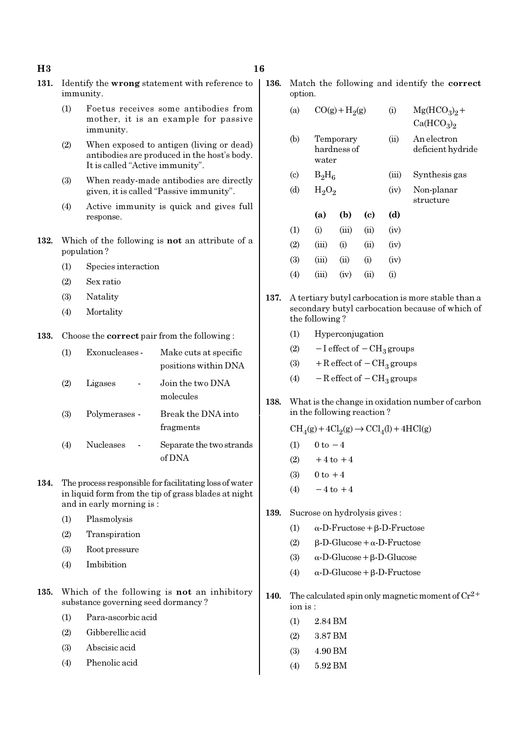#### $H3$  and  $16$

- 131. Identify the wrong statement with reference to immunity.
	- (1) Foetus receives some antibodies from mother, it is an example for passive immunity.
	- (2) When exposed to antigen (living or dead) antibodies are produced in the host's body. It is called "Active immunity".
	- (3) When ready-made antibodies are directly given, it is called "Passive immunity".
	- (4) Active immunity is quick and gives full response.
- 132. Which of the following is not an attribute of a population ?
	- (1) Species interaction
	- (2) Sex ratio
	- (3) Natality
	- (4) Mortality

133. Choose the correct pair from the following :

| (1) | Exonucleases - | Make cuts at specific<br>positions within DNA |
|-----|----------------|-----------------------------------------------|
| (2) | Ligases        | Join the two DNA<br>molecules                 |
| (3) | Polymerases -  | Break the DNA into<br>fragments               |
| (4) | Nucleases      | Separate the two strands<br>of DNA            |

- 134. The process responsible for facilitating loss of water in liquid form from the tip of grass blades at night and in early morning is :
	- (1) Plasmolysis
	- (2) Transpiration
	- (3) Root pressure
	- (4) Imbibition
- 135. Which of the following is not an inhibitory substance governing seed dormancy ?
	- (1) Para-ascorbic acid
	- (2) Gibberellic acid
	- (3) Abscisic acid
	- (4) Phenolic acid

136. Match the following and identify the correct option

| (a)                       |       | $CO(g) + H2(g)$          |          | (i)  | $Mg(HCO3)2 +$<br>Ca(HCO <sub>3</sub> ) <sub>2</sub> |
|---------------------------|-------|--------------------------|----------|------|-----------------------------------------------------|
| (b)                       | water | Temporary<br>hardness of |          | (ii) | An electron<br>deficient hydride                    |
| $\left( \text{c} \right)$ |       | $B_2H_6$                 |          |      | Synthesis gas                                       |
| (d)                       |       | $H_2O_2$                 |          |      | Non-planar<br>structure                             |
|                           | (a)   | (b)                      | (c)      | (d)  |                                                     |
| (1)                       | (i)   | (iii)                    | (ii)     | (iv) |                                                     |
| (2)                       | (iii) | (i)                      | (ii)     | (iv) |                                                     |
| (3)                       | (iii) | (ii)                     | $\rm(i)$ | (iv) |                                                     |

- 137. A tertiary butyl carbocation is more stable than a secondary butyl carbocation because of which of the following ?
	- (1) Hyperconjugation

 $(4)$   $(iii)$   $(iv)$   $(ii)$   $(i)$ 

- (2)  $-I$  effect of  $-CH<sub>3</sub>$  groups
- (3) + R effect of  $-CH<sub>3</sub>$  groups
- (4)  $-$  R effect of  $-$  CH<sub>3</sub> groups
- 138. What is the change in oxidation number of carbon in the following reaction ?

 $\text{CH}_4(g) + 4\text{Cl}_2(g) \rightarrow \text{CCl}_4(l) + 4\text{HCl}(g)$ 

- (1)  $0 \text{ to } -4$
- $(2)$  +4 to +4
- $(3)$  0 to  $+4$
- (4)  $-4$  to  $+4$
- 139. Sucrose on hydrolysis gives :
	- (1) α-D-Fructose+β-D-Fructose
	- (2) β-D-Glucose+α-D-Fructose
	- (3) α-D-Glucose+β-D-Glucose
	- (4) α-D-Glucose+β-D-Fructose
- 140. The calculated spin only magnetic moment of  $Cr^{2+}$ ion is :
	- (1) 2.84 BM
	- (2) 3.87 BM
	- (3) 4.90 BM
	- (4) 5.92 BM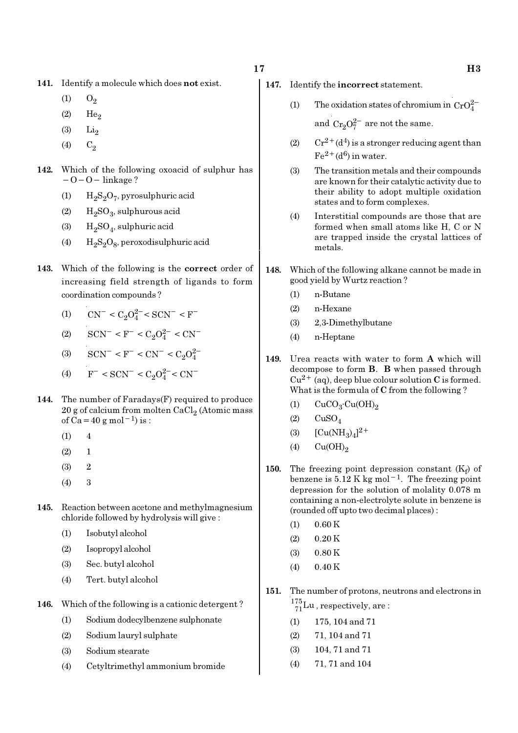- 141. Identify a molecule which does not exist.
	- $(1)$   $O_2$
	- $(2)$  He<sub>2</sub>
	- $(3)$  Li<sub>2</sub>
	- (4)  $C_2$
- 142. Which of the following oxoacid of sulphur has  $-O-O-$  linkage ?
	- (1)  $H_2S_2O_7$ , pyrosulphuric acid
	- (2)  $H_2SO_3$ , sulphurous acid
	- (3)  $H_2SO_4$ , sulphuric acid
	- (4)  $H_2S_2O_8$ , peroxodisulphuric acid
- 143. Which of the following is the correct order of increasing field strength of ligands to form coordination compounds ?
	- (1)  $CN^- < C_2O_4^{2-} < SCN^- < F^-$
	- (2)  $\text{SCN}^-$  <  $\text{F}^-$  <  $\text{C}_2\text{O}_4^{2-}$  <  $\text{CN}^-$
	- (3)  $\text{SCN}^-$  < F<sup>-</sup> < CN<sup>-</sup> < C<sub>2</sub>O<sub>4</sub><sup>2</sup>
	- (4)  $F^- < \text{SCN}^- < C_2 O_4^{2-} < \text{CN}^-$
- 144. The number of Faradays(F) required to produce  $20$  g of calcium from molten CaCl $_2$  (Atomic mass of Ca=40 g mol<sup>-1</sup>) is :
	- $(1)$  4
	- $(2) 1$
	- (3) 2
	- (4) 3
- 145. Reaction between acetone and methylmagnesium chloride followed by hydrolysis will give :
	- (1) Isobutyl alcohol
	- (2) Isopropyl alcohol
	- (3) Sec. butyl alcohol
	- (4) Tert. butyl alcohol
- 146. Which of the following is a cationic detergent ?
	- (1) Sodium dodecylbenzene sulphonate
	- (2) Sodium lauryl sulphate
	- (3) Sodium stearate
	- (4) Cetyltrimethyl ammonium bromide
- 147. Identify the incorrect statement.
	- (1) The oxidation states of chromium in  $CrO_4^{2-}$

and  $Cr_2O_7^{2-}$  are not the same.

- (2)  $Cr^{2+}(d^4)$  is a stronger reducing agent than  $Fe^{2+}(d^6)$  in water.
- (3) The transition metals and their compounds are known for their catalytic activity due to their ability to adopt multiple oxidation states and to form complexes.
- (4) Interstitial compounds are those that are formed when small atoms like H, C or N are trapped inside the crystal lattices of metals.
- 148. Which of the following alkane cannot be made in good yield by Wurtz reaction ?
	- (1) n-Butane
	- (2) n-Hexane
	- (3) 2,3-Dimethylbutane
	- (4) n-Heptane
- 149. Urea reacts with water to form A which will decompose to form B. B when passed through  $Cu^{2+}$  (aq), deep blue colour solution C is formed. What is the formula of C from the following ?
	- (1)  $CuCO<sub>3</sub>·Cu(OH)<sub>2</sub>$
	- $(2)$   $CuSO<sub>4</sub>$
	- (3)  $[Cu(NH_3)_4]^{2+}$
	- $(4)$  Cu(OH)<sub>2</sub>
- **150.** The freezing point depression constant  $(K_f)$  of benzene is  $5.12 \text{ K}$  kg mol<sup>-1</sup>. The freezing point depression for the solution of molality 0.078 m containing a non-electrolyte solute in benzene is (rounded off upto two decimal places) :
	- $(1)$  0.60 K
	- $(2)$  0.20 K
	- (3) 0.80 K
	- $(4)$  0.40 K
- 151. The number of protons, neutrons and electrons in  $^{175}_{71}$ Lu, respectively, are:
	- (1) 175, 104 and 71
	- (2) 71, 104 and 71
	- (3) 104, 71 and 71
	- (4) 71, 71 and 104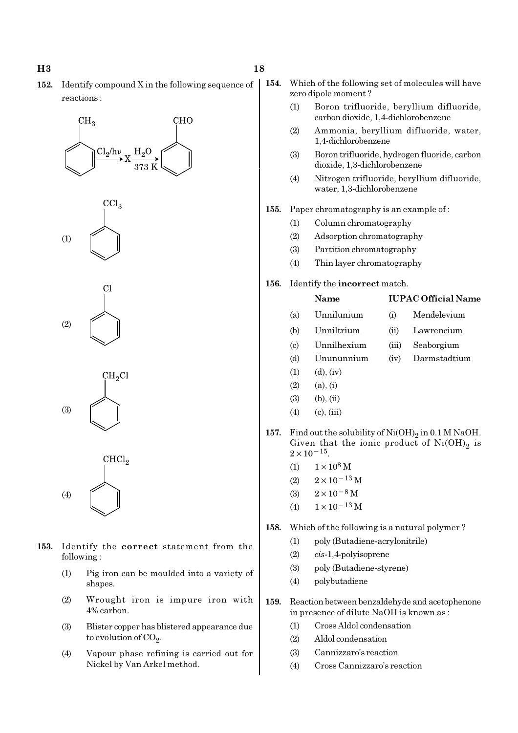152. Identify compound X in the following sequence of reactions :

# $CH<sub>3</sub>$ **CHO**  $Cl<sub>2</sub>/h\nu$  $_{\rm H_2O}$





 $CH<sub>2</sub>Cl$ (3)

CHCl<sub>2</sub> (4)

- 153. Identify the correct statement from the following :
	- (1) Pig iron can be moulded into a variety of shapes.
	- (2) Wrought iron is impure iron with 4% carbon.
	- (3) Blister copper has blistered appearance due to evolution of CO<sub>2</sub>.
	- (4) Vapour phase refining is carried out for Nickel by Van Arkel method.
- 154. Which of the following set of molecules will have zero dipole moment ?
	- (1) Boron trifluoride, beryllium difluoride, carbon dioxide, 1,4-dichlorobenzene
	- (2) Ammonia, beryllium difluoride, water, 1,4-dichlorobenzene
	- (3) Boron trifluoride, hydrogen fluoride, carbon dioxide, 1,3-dichlorobenzene
	- (4) Nitrogen trifluoride, beryllium difluoride, water, 1,3-dichlorobenzene
- 155. Paper chromatography is an example of :
	- (1) Column chromatography
	- (2) Adsorption chromatography
	- (3) Partition chromatography
	- (4) Thin layer chromatography

#### 156. Identify the incorrect match.

### Name IUPAC Official Name

- (a) Unnilunium (i) Mendelevium
- (b) Unniltrium (ii) Lawrencium
- (c) Unnilhexium (iii) Seaborgium
- (d) Unununnium (iv) Darmstadtium
- $(1)$   $(d)$ ,  $(iv)$
- $(2)$   $(a), (i)$
- $(3)$   $(b)$ ,  $(ii)$
- $(4)$  (c), (iii)
- 157. Find out the solubility of  $\mathrm{Ni(OH)}_{2}$  in 0.1 M NaOH. Given that the ionic product of  $\mathrm{Ni(OH)}_{2}$  is  $2 \times 10^{-15}$ .
	- $(1)$  1 × 10<sup>8</sup> M
	- (2)  $2 \times 10^{-13}$  M
	- (3)  $2 \times 10^{-8}$  M
	- (4)  $1 \times 10^{-13}$  M
- 158. Which of the following is a natural polymer ?
	- (1) poly (Butadiene-acrylonitrile)
	- (2) cis-1,4-polyisoprene
	- (3) poly (Butadiene-styrene)
	- (4) polybutadiene
- 159. Reaction between benzaldehyde and acetophenone in presence of dilute NaOH is known as :
	- (1) Cross Aldol condensation
	- (2) Aldol condensation
	- (3) Cannizzaro's reaction
	- (4) Cross Cannizzaro's reaction

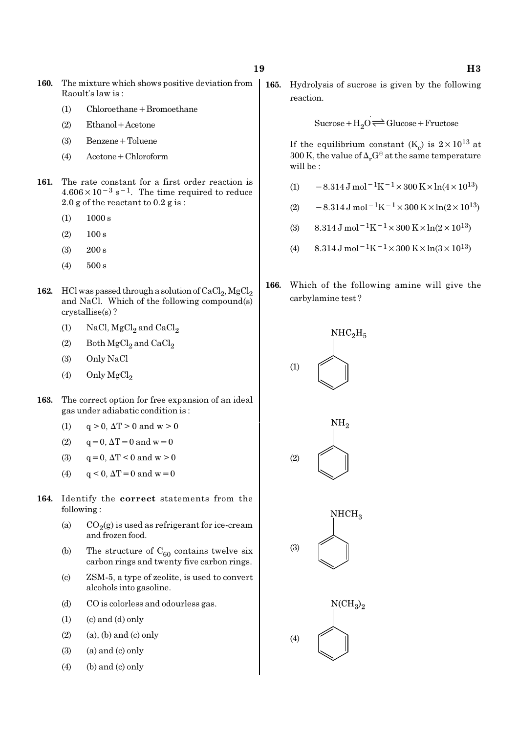- 160. The mixture which shows positive deviation from Raoult's law is :
	- (1) Chloroethane+Bromoethane
	- (2) Ethanol+Acetone
	- (3) Benzene+Toluene
	- (4) Acetone+Chloroform
- 161. The rate constant for a first order reaction is  $4.606 \times 10^{-3}$  s<sup>-1</sup>. The time required to reduce 2.0 g of the reactant to 0.2 g is :
	- $(1)$  1000 s
	- $(2)$  100 s
	- (3) 200 s
	- (4) 500 s
- 162. HCl was passed through a solution of  $\mathrm{CaCl}_2$ ,  $\mathrm{MgCl}_2$ and NaCl. Which of the following compound(s) crystallise(s) ?
	- (1) NaCl,  $MgCl<sub>2</sub>$  and  $CaCl<sub>2</sub>$
	- (2) Both  $\mathrm{MgCl}_2$  and  $\mathrm{CaCl}_2$
	- (3) Only NaCl
	- (4) Only  $MgCl<sub>2</sub>$
- 163. The correct option for free expansion of an ideal gas under adiabatic condition is :
	- (1)  $q > 0$ ,  $\Delta T > 0$  and  $w > 0$
	- (2)  $q = 0, \Delta T = 0$  and  $w = 0$
	- (3)  $q = 0, \Delta T < 0 \text{ and } w > 0$
	- (4)  $q < 0$ ,  $\Delta T = 0$  and  $w = 0$
- 164. Identify the correct statements from the following :
	- (a)  $CO_2(g)$  is used as refrigerant for ice-cream and frozen food.
	- (b) The structure of  $C_{60}$  contains twelve six carbon rings and twenty five carbon rings.
	- (c) ZSM-5, a type of zeolite, is used to convert alcohols into gasoline.
	- (d) CO is colorless and odourless gas.
	- $(1)$   $(c)$  and  $(d)$  only
	- $(2)$  (a), (b) and (c) only
	- $(3)$  (a) and  $(c)$  only
	- $(4)$  (b) and (c) only

165. Hydrolysis of sucrose is given by the following reaction.

 $Sucrose+H_2O \rightleftharpoons Glucose+Fructose$ 

If the equilibrium constant (K<sub>c</sub>) is  $2 \times 10^{13}$  at 300 K, the value of  $\Delta_r G^\ominus$  at the same temperature will be :

- (1)  $-8.314 \,\mathrm{J} \,\mathrm{mol}^{-1} \mathrm{K}^{-1} \times 300 \,\mathrm{K} \times \ln(4 \times 10^{13})$
- (2)  $-8.314 \text{ J mol}^{-1} \text{K}^{-1} \times 300 \text{ K} \times \ln(2 \times 10^{13})$
- (3)  $8.314 \text{ J mol}^{-1}\text{K}^{-1} \times 300 \text{ K} \times \ln(2 \times 10^{13})$
- (4)  $8.314 \text{ J mol}^{-1}\text{K}^{-1} \times 300 \text{ K} \times \ln(3 \times 10^{13})$
- 166. Which of the following amine will give the carbylamine test ?





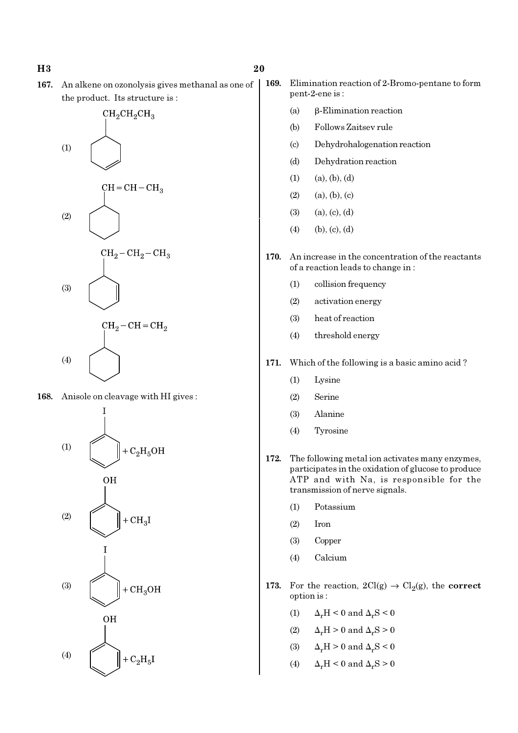#### H<sub>3</sub>  $20$

167. An alkene on ozonolysis gives methanal as one of the product. Its structure is :



168. Anisole on cleavage with HI gives :



- 169. Elimination reaction of 2-Bromo-pentane to form pent-2-ene is :
	- (a) β-Elimination reaction
	- (b) Follows Zaitsev rule
	- (c) Dehydrohalogenation reaction
	- (d) Dehydration reaction
	- $(1)$   $(a), (b), (d)$
	- $(2)$   $(a), (b), (c)$
	- $(3)$   $(a), (c), (d)$
	- $(4)$  (b), (c), (d)
- 170. An increase in the concentration of the reactants of a reaction leads to change in :
	- (1) collision frequency
	- (2) activation energy
	- (3) heat of reaction
	- (4) threshold energy
- 171. Which of the following is a basic amino acid ?
	- (1) Lysine
	- (2) Serine
	- (3) Alanine
	- (4) Tyrosine
- 172. The following metal ion activates many enzymes, participates in the oxidation of glucose to produce ATP and with Na, is responsible for the transmission of nerve signals.
	- (1) Potassium
	- (2) Iron
	- (3) Copper
	- (4) Calcium
- 173. For the reaction,  $2Cl(g) \rightarrow Cl_2(g)$ , the correct option is :
	- (1)  $\Delta_r H < 0$  and  $\Delta_r S < 0$
	- (2)  $\Delta_r H > 0$  and  $\Delta_r S > 0$
	- (3)  $\Delta_r H > 0$  and  $\Delta_r S < 0$
	- (4)  $\Delta_r H \leq 0$  and  $\Delta_r S \geq 0$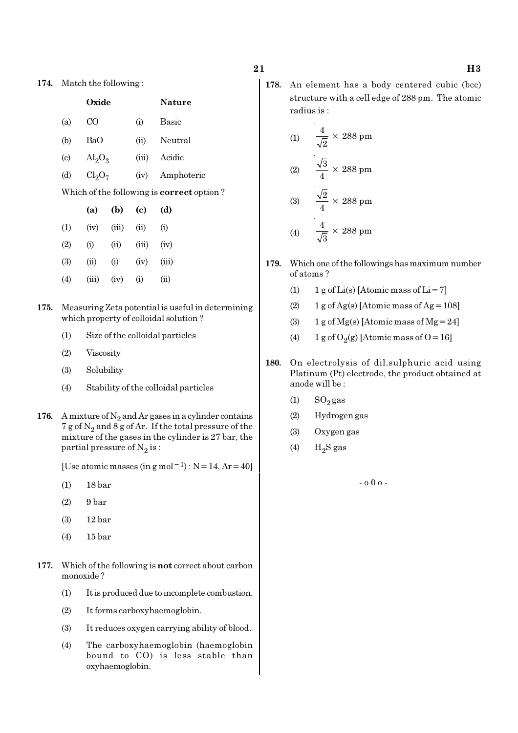174. Match the following :

|                            | Oxide                   |       |       | <b>Nature</b>                                    |
|----------------------------|-------------------------|-------|-------|--------------------------------------------------|
| (a)                        | CO.                     |       |       | Basic                                            |
| (b)                        | <b>BaO</b>              |       | (ii)  | Neutral                                          |
| $\left( \mathrm{c}\right)$ | $\text{Al}_2\text{O}_3$ |       | (iii) | Acidic                                           |
| (d)                        | $Cl_2O_7$               |       | (iv)  | Amphoteric                                       |
|                            |                         |       |       | Which of the following is <b>correct</b> option? |
|                            | (a)                     | (b)   | (c)   | (d)                                              |
| (1)                        | (iv)                    | (iii) | (ii)  | (i)                                              |
| (2)                        | (i)                     | (ii)  | (iii) | (iv)                                             |
| (3)                        | (ii)                    | (i)   | (iv)  | (iii)                                            |
| (4)                        | (iii)                   | (iv)  | (i)   | (ii)                                             |

- 175. Measuring Zeta potential is useful in determining which property of colloidal solution ?
	- (1) Size of the colloidal particles
	- (2) Viscosity
	- (3) Solubility
	- (4) Stability of the colloidal particles
- 176. A mixture of  $N_2$  and Ar gases in a cylinder contains 7 g of  $\mathrm{N}_2$  and 8 g of Ar. If the total pressure of the mixture of the gases in the cylinder is 27 bar, the partial pressure of  $\mathrm{N}_2 \, \mathrm{is}$  :

[Use atomic masses (in g mol<sup>-1</sup>) : N = 14, Ar = 40]

- (1) 18 bar
- $(2)$  9 bar
- (3) 12 bar
- (4) 15 bar
- 177. Which of the following is not correct about carbon monoxide ?
	- (1) It is produced due to incomplete combustion.
	- (2) It forms carboxyhaemoglobin.
	- (3) It reduces oxygen carrying ability of blood.
	- (4) The carboxyhaemoglobin (haemoglobin bound to CO) is less stable than oxyhaemoglobin.

178. An element has a body centered cubic (bcc) structure with a cell edge of 288 pm. The atomic radius is :

(1) 
$$
\frac{4}{\sqrt{2}} \times 288 \text{ pm}
$$
  
(2) 
$$
\frac{\sqrt{3}}{4} \times 288 \text{ pm}
$$
  
(3) 
$$
\frac{\sqrt{2}}{4} \times 288 \text{ pm}
$$
  
(4) 
$$
\frac{4}{\sqrt{3}} \times 288 \text{ pm}
$$

- 179. Which one of the followings has maximum number of atoms ?
	- (1) 1 g of  $Li(s)$  [Atomic mass of  $Li = 7$ ]
	- (2)  $1 g$  of Ag(s) [Atomic mass of Ag = 108]
	- (3) 1 g of Mg(s) [Atomic mass of Mg = 24]
	- (4) 1 g of  $O_2(g)$  [Atomic mass of O = 16]
- 180. On electrolysis of dil.sulphuric acid using Platinum (Pt) electrode, the product obtained at anode will be :
	- $(1)$  SO<sub>2</sub> gas
	- (2) Hydrogen gas
	- (3) Oxygen gas
	- (4)  $H_2S$  gas

- o 0 o -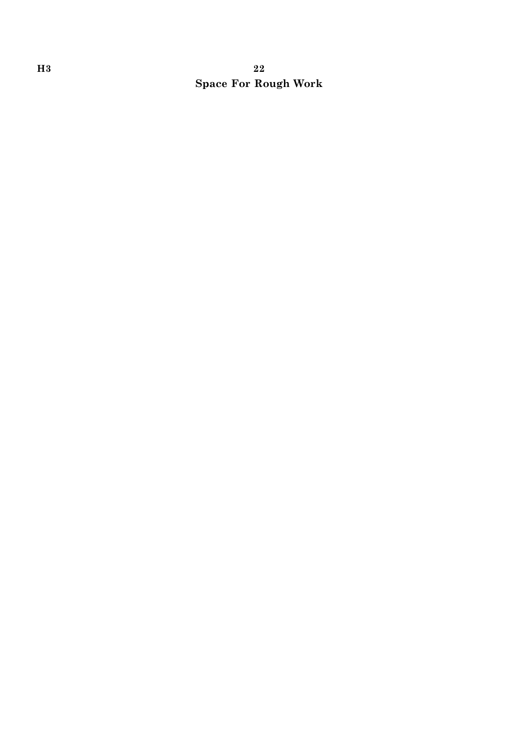# H3 22 Space For Rough Work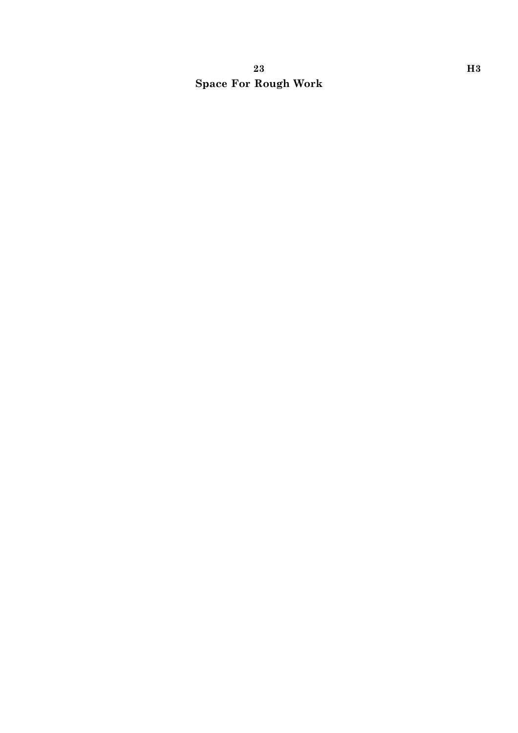# $23$  H<sub>3</sub> Space For Rough Work